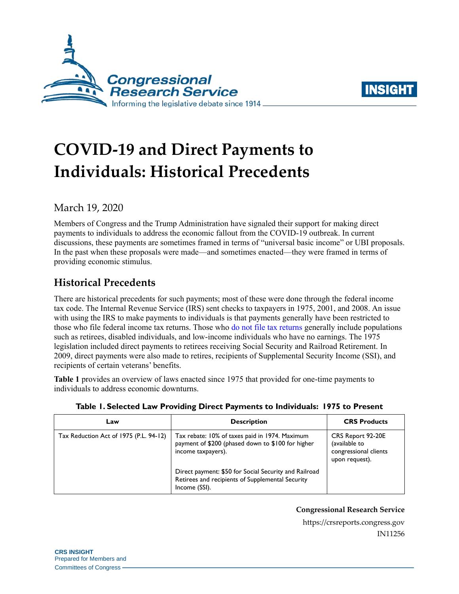



# **COVID-19 and Direct Payments to Individuals: Historical Precedents**

March 19, 2020

Members of Congress and the Trump Administration have signaled their support for making direct payments to individuals to address the economic fallout from the COVID-19 outbreak. In current discussions, these payments are sometimes framed in terms of "universal basic income" or UBI proposals. In the past when these proposals were made—and sometimes enacted—they were framed in terms of providing economic stimulus.

## **Historical Precedents**

There are historical precedents for such payments; most of these were done through the federal income tax code. The Internal Revenue Service (IRS) sent checks to taxpayers in 1975, 2001, and 2008. An issue with using the IRS to make payments to individuals is that payments generally have been restricted to those who file federal income tax returns. Those who [do not file tax returns](https://www.cbo.gov/system/files/115th-congress-2017-2018/workingpaper/53125-nonfilers.pdf) generally include populations such as retirees, disabled individuals, and low-income individuals who have no earnings. The 1975 legislation included direct payments to retirees receiving Social Security and Railroad Retirement. In 2009, direct payments were also made to retires, recipients of Supplemental Security Income (SSI), and recipients of certain veterans' benefits.

**[Table 1](#page-0-0)** provides an overview of laws enacted since 1975 that provided for one-time payments to individuals to address economic downturns.

<span id="page-0-0"></span>

| Law                                    | <b>Description</b>                                                                                                         | <b>CRS Products</b>                                                           |
|----------------------------------------|----------------------------------------------------------------------------------------------------------------------------|-------------------------------------------------------------------------------|
| Tax Reduction Act of 1975 (P.L. 94-12) | Tax rebate: 10% of taxes paid in 1974. Maximum<br>payment of \$200 (phased down to \$100 for higher<br>income taxpayers).  | CRS Report 92-20E<br>(available to<br>congressional clients<br>upon request). |
|                                        | Direct payment: \$50 for Social Security and Railroad<br>Retirees and recipients of Supplemental Security<br>Income (SSI). |                                                                               |

**Table 1. Selected Law Providing Direct Payments to Individuals: 1975 to Present**

#### **Congressional Research Service**

https://crsreports.congress.gov IN11256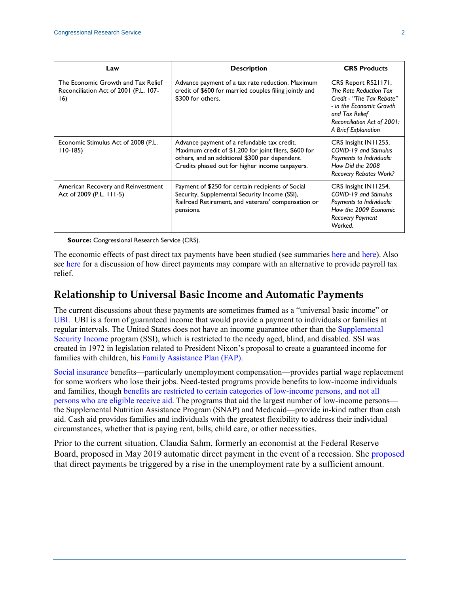| Law                                                                                | <b>Description</b>                                                                                                                                                                                        | <b>CRS Products</b>                                                                                                                                                            |
|------------------------------------------------------------------------------------|-----------------------------------------------------------------------------------------------------------------------------------------------------------------------------------------------------------|--------------------------------------------------------------------------------------------------------------------------------------------------------------------------------|
| The Economic Growth and Tax Relief<br>Reconciliation Act of 2001 (P.L. 107-<br>16) | Advance payment of a tax rate reduction. Maximum<br>credit of \$600 for married couples filing jointly and<br>\$300 for others.                                                                           | CRS Report RS21171,<br>The Rate Reduction Tax<br>Credit - "The Tax Rebate"<br>- in the Economic Growth<br>and Tax Relief<br>Reconciliation Act of 2001:<br>A Brief Explanation |
| Economic Stimulus Act of 2008 (P.L.<br>$110-185$                                   | Advance payment of a refundable tax credit.<br>Maximum credit of \$1,200 for joint filers, \$600 for<br>others, and an additional \$300 per dependent.<br>Credits phased out for higher income taxpayers. | CRS Insight IN11255,<br>COVID-19 and Stimulus<br>Payments to Individuals:<br>How Did the 2008<br><b>Recovery Rebates Work?</b>                                                 |
| American Recovery and Reinvestment<br>Act of 2009 (P.L. 111-5)                     | Payment of \$250 for certain recipients of Social<br>Security, Supplemental Security Income (SSI),<br>Railroad Retirement, and veterans' compensation or<br>pensions.                                     | CRS Insight IN11254,<br>COVID-19 and Stimulus<br>Payments to Individuals:<br>How the 2009 Economic<br><b>Recovery Payment</b><br>Worked.                                       |

**Source:** Congressional Research Service (CRS).

The economic effects of past direct tax payments have been studied (see summaries [here](https://crsreports.congress.gov/product/pdf/RS/RS22790) and [here\)](https://crsreports.congress.gov/product/pdf/RS/RS21126). Also see [here](https://crsreports.congress.gov/product/pdf/IN/IN11234) for a discussion of how direct payments may compare with an alternative to provide payroll tax relief.

#### **Relationship to Universal Basic Income and Automatic Payments**

The current discussions about these payments are sometimes framed as a "universal basic income" or [UBI.](https://crsreports.congress.gov/product/pdf/IF/IF10865) UBI is a form of guaranteed income that would provide a payment to individuals or families at regular intervals. The United States does not have an income guarantee other than the [Supplemental](https://crsreports.congress.gov/product/pdf/IF/IF10482)  [Security Income p](https://crsreports.congress.gov/product/pdf/IF/IF10482)rogram (SSI), which is restricted to the needy aged, blind, and disabled. SSI was created in 1972 in legislation related to President Nixon's proposal to create a guaranteed income for families with children, his [Family Assistance Plan \(FAP\).](https://crsreports.congress.gov/product/pdf/R/R44668#_Toc31264445)

[Social insurance b](https://crsreports.congress.gov/product/pdf/IF/IF11447)enefits—particularly unemployment compensation—provides partial wage replacement for some workers who lose their jobs. Need-tested programs provide benefits to low-income individuals and families, though [benefits are restricted to certain categories of low-income persons,](https://crsreports.congress.gov/product/pdf/R/R44327) and not all [persons who are eligible receive aid.](https://crsreports.congress.gov/product/pdf/R/R44327) The programs that aid the largest number of low-income persons the Supplemental Nutrition Assistance Program (SNAP) and Medicaid—provide in-kind rather than cash aid. Cash aid provides families and individuals with the greatest flexibility to address their individual circumstances, whether that is paying rent, bills, child care, or other necessities.

Prior to the current situation, Claudia Sahm, formerly an economist at the Federal Reserve Board, proposed in May 2019 automatic direct payment in the event of a recession. She [proposed](https://www.brookings.edu/research/direct-stimulus-payments-to-individuals/) that direct payments be triggered by a rise in the unemployment rate by a sufficient amount.